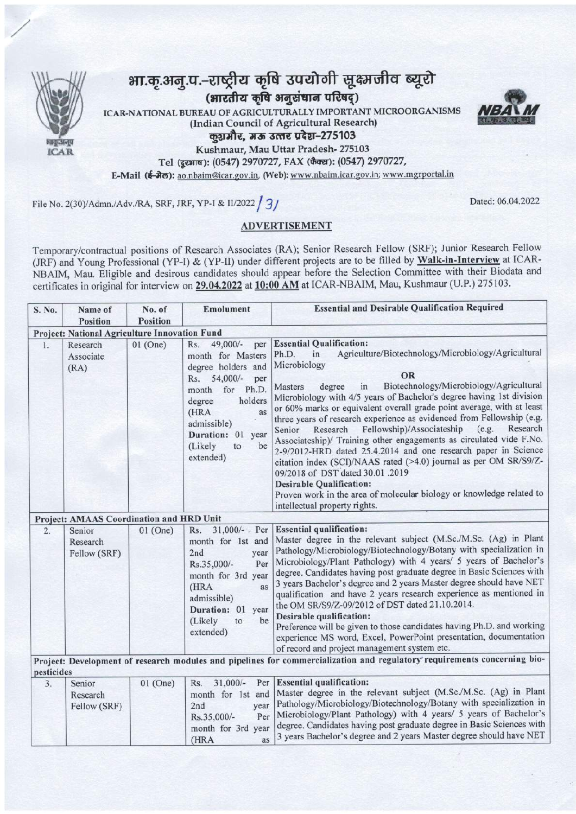

## भा.कृ.अनु.प.-राष्ट्रीय कृषि उपयोगी सूक्ष्मजीव ब्यूरो (भारतीय कृषि अनुसंधान परिषद्)

ICAR-NATIONAL BUREAU OF AGRICULTURALLY IMPORTANT MICROORGANISMS (Indian Council of Agricultural Research)

कुशमौर, मऊ उत्तर प्रदेश-275103

Kushmaur, Mau Uttar Pradesh- 275103

Tel (दूरआष): (0547) 2970727, FAX (फैक्स): (0547) 2970727,

E-Mail (ई-मेल): ao.nbaim@icar.gov.in, (Web): www.nbaim.icar.gov.in; www.mgrportal.in

File No. 2(30)/Admn./Adv./RA, SRF, JRF, YP-I & II/2022 31



## **ADVERTISEMENT**

Temporary/contractual positions of Research Associates (RA); Senior Research Fellow (SRF); Junior Research Fellow (JRF) and Young Professional (YP-I) & (YP-II) under different projects are to be filled by Walk-in-Interview at ICAR-NBAIM, Mau. Eligible and desirous candidates should appear before the Selection Committee with their Biodata and certificates in original for interview on 29.04.2022 at 10:00 AM at ICAR-NBAIM, Mau, Kushmaur (U.P.) 275103.

| S. No.                                                                                                                                 | Name of                                       | No. of          | Emolument                                                                                                                                                                                                                            | <b>Essential and Desirable Qualification Required</b>                                                                                                                                                                                                                                                                                                                                                                                                                                                                                                                                                                                                                                                                                                                                                                                                                                                    |  |  |  |  |
|----------------------------------------------------------------------------------------------------------------------------------------|-----------------------------------------------|-----------------|--------------------------------------------------------------------------------------------------------------------------------------------------------------------------------------------------------------------------------------|----------------------------------------------------------------------------------------------------------------------------------------------------------------------------------------------------------------------------------------------------------------------------------------------------------------------------------------------------------------------------------------------------------------------------------------------------------------------------------------------------------------------------------------------------------------------------------------------------------------------------------------------------------------------------------------------------------------------------------------------------------------------------------------------------------------------------------------------------------------------------------------------------------|--|--|--|--|
|                                                                                                                                        | Position                                      | <b>Position</b> |                                                                                                                                                                                                                                      |                                                                                                                                                                                                                                                                                                                                                                                                                                                                                                                                                                                                                                                                                                                                                                                                                                                                                                          |  |  |  |  |
|                                                                                                                                        | Project: National Agriculture Innovation Fund |                 |                                                                                                                                                                                                                                      |                                                                                                                                                                                                                                                                                                                                                                                                                                                                                                                                                                                                                                                                                                                                                                                                                                                                                                          |  |  |  |  |
| 1.                                                                                                                                     | Research<br>Associate<br>(RA)                 | $01$ (One)      | 49,000/-<br>Rs.<br>per<br>month for Masters<br>degree holders and<br>$54,000/-$<br>Rs.<br>per<br>for<br>Ph.D.<br>month<br>holders<br>degree<br>(HRA<br>as<br>admissible)<br>Duration: 01<br>year<br>(Likely<br>be<br>to<br>extended) | <b>Essential Qualification:</b><br>Agriculture/Biotechnology/Microbiology/Agricultural<br>in<br>Ph.D.<br>Microbiology<br>OR<br>Biotechnology/Microbiology/Agricultural<br>degree<br><b>Masters</b><br>in<br>Microbiology with 4/5 years of Bachelor's degree having 1st division<br>or 60% marks or equivalent overall grade point average, with at least<br>three years of research experience as evidenced from Fellowship (e.g.<br>Fellowship)/Associateship<br>(e.g.<br>Research<br>Research<br>Senior<br>Associateship)/ Training other engagements as circulated vide F.No.<br>2-9/2012-HRD dated 25.4.2014 and one research paper in Science<br>citation index (SCI)/NAAS rated (>4.0) journal as per OM SR/S9/Z-<br>09/2018 of DST dated 30.01 .2019<br><b>Desirable Qualification:</b><br>Proven work in the area of molecular biology or knowledge related to<br>intellectual property rights. |  |  |  |  |
|                                                                                                                                        | Project: AMAAS Coordination and HRD Unit      |                 |                                                                                                                                                                                                                                      |                                                                                                                                                                                                                                                                                                                                                                                                                                                                                                                                                                                                                                                                                                                                                                                                                                                                                                          |  |  |  |  |
| 2.                                                                                                                                     | Senior<br>Research<br>Fellow (SRF)            | $01$ (One)      | $31,000/-$ Per<br>Rs.<br>month for 1st and<br>2nd<br>year<br>Rs.35,000/-<br>Per<br>month for 3rd year<br>(HRA<br>as<br>admissible)<br>Duration: 01<br>year<br>(Likely<br>be<br>to<br>extended)                                       | <b>Essential qualification:</b><br>Master degree in the relevant subject (M.Sc./M.Sc. (Ag) in Plant<br>Pathology/Microbiology/Biotechnology/Botany with specialization in<br>Microbiology/Plant Pathology) with 4 years/ 5 years of Bachelor's<br>degree. Candidates having post graduate degree in Basic Sciences with<br>3 years Bachelor's degree and 2 years Master degree should have NET<br>qualification and have 2 years research experience as mentioned in<br>the OM SR/S9/Z-09/2012 of DST dated 21.10.2014.<br>Desirable qualification:<br>Preference will be given to those candidates having Ph.D. and working<br>experience MS word, Excel, PowerPoint presentation, documentation<br>of record and project management system etc.                                                                                                                                                        |  |  |  |  |
| Project: Development of research modules and pipelines for commercialization and regulatory requirements concerning bio-<br>pesticides |                                               |                 |                                                                                                                                                                                                                                      |                                                                                                                                                                                                                                                                                                                                                                                                                                                                                                                                                                                                                                                                                                                                                                                                                                                                                                          |  |  |  |  |
| 3.                                                                                                                                     | Senior<br>Research<br>Fellow (SRF)            | $01$ (One)      | $31,000/-$<br>Per<br>Rs.<br>month for 1st and<br>2nd<br>year<br>Per<br>Rs.35,000/-<br>month for 3rd year<br>(HRA<br>as                                                                                                               | <b>Essential qualification:</b><br>Master degree in the relevant subject (M.Sc./M.Sc. (Ag) in Plant<br>Pathology/Microbiology/Biotechnology/Botany with specialization in<br>Microbiology/Plant Pathology) with 4 years/ 5 years of Bachelor's<br>degree. Candidates having post graduate degree in Basic Sciences with<br>3 years Bachelor's degree and 2 years Master degree should have NET                                                                                                                                                                                                                                                                                                                                                                                                                                                                                                           |  |  |  |  |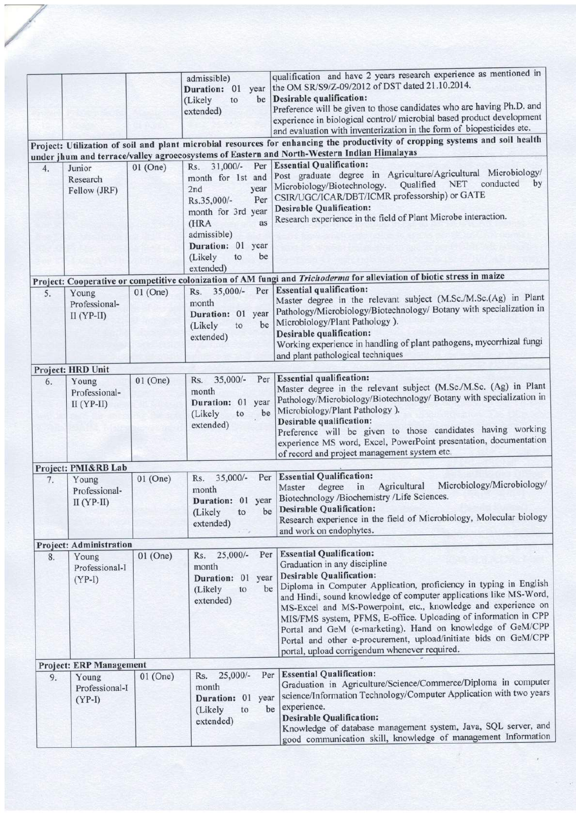|    |                                        |            | admissible)<br>Duration: 01<br>year<br>be<br>(Likely<br>to<br>extended)                                                                                                                   | qualification and have 2 years research experience as mentioned in<br>the OM SR/S9/Z-09/2012 of DST dated 21.10.2014.<br>Desirable qualification:<br>Preference will be given to those candidates who are having Ph.D. and<br>experience in biological control/ microbial based product development<br>and evaluation with inventerization in the form of biopesticides etc.                                                                                                                                                                                       |
|----|----------------------------------------|------------|-------------------------------------------------------------------------------------------------------------------------------------------------------------------------------------------|--------------------------------------------------------------------------------------------------------------------------------------------------------------------------------------------------------------------------------------------------------------------------------------------------------------------------------------------------------------------------------------------------------------------------------------------------------------------------------------------------------------------------------------------------------------------|
|    |                                        |            |                                                                                                                                                                                           | Project: Utilization of soil and plant microbial resources for enhancing the productivity of cropping systems and soil health                                                                                                                                                                                                                                                                                                                                                                                                                                      |
|    |                                        |            |                                                                                                                                                                                           | under jhum and terrace/valley agroecosystems of Eastern and North-Western Indian Himalayas                                                                                                                                                                                                                                                                                                                                                                                                                                                                         |
| 4. | Junior<br>Research<br>Fellow (JRF)     | $01$ (One) | Rs. 31,000/-<br>Per<br>month for 1st and<br>2nd<br>year<br>Rs.35,000/-<br>Per<br>month for 3rd year<br>(HRA<br>as<br>admissible)<br>Duration: 01 year<br>be<br>(Likely<br>to<br>extended) | <b>Essential Qualification:</b><br>Post graduate degree in Agriculture/Agricultural Microbiology/<br>conducted<br>Qualified NET<br>by<br>Microbiology/Biotechnology.<br>CSIR/UGC/ICAR/DBT/ICMR professorship) or GATE<br><b>Desirable Qualification:</b><br>Research experience in the field of Plant Microbe interaction.                                                                                                                                                                                                                                         |
|    |                                        |            |                                                                                                                                                                                           | Project: Cooperative or competitive colonization of AM fungi and Trichoderma for alleviation of biotic stress in maize                                                                                                                                                                                                                                                                                                                                                                                                                                             |
| 5. | Young<br>Professional-<br>$II (YP-II)$ | $01$ (One) | Rs. 35,000/-<br>month<br>Duration: 01 year<br>be<br>(Likely<br>to<br>extended)                                                                                                            | Per Essential qualification:<br>Master degree in the relevant subject (M.Sc./M.Sc.(Ag) in Plant<br>Pathology/Microbiology/Biotechnology/ Botany with specialization in<br>Microbiology/Plant Pathology).<br>Desirable qualification:<br>Working experience in handling of plant pathogens, mycorrhizal fungi<br>and plant pathological techniques                                                                                                                                                                                                                  |
|    | Project: HRD Unit                      |            |                                                                                                                                                                                           |                                                                                                                                                                                                                                                                                                                                                                                                                                                                                                                                                                    |
| 6. | Young<br>Professional-<br>$II (YP-II)$ | $01$ (One) | $35,000/-$<br>Per<br>Rs.<br>month<br>Duration: 01 year<br>(Likely<br>be<br>to<br>extended)                                                                                                | <b>Essential qualification:</b><br>Master degree in the relevant subject (M.Sc./M.Sc. (Ag) in Plant<br>Pathology/Microbiology/Biotechnology/ Botany with specialization in<br>Microbiology/Plant Pathology).<br>Desirable qualification:<br>Preference will be given to those candidates having working<br>experience MS word, Excel, PowerPoint presentation, documentation<br>of record and project management system etc.                                                                                                                                       |
|    | Project: PMI&RB Lab                    |            |                                                                                                                                                                                           |                                                                                                                                                                                                                                                                                                                                                                                                                                                                                                                                                                    |
| 7. | Young<br>Professional-<br>$II (YP-II)$ | $01$ (One) | $35,000/-$<br>Rs.<br>month<br>Duration: 01 year<br>be<br>(Likely<br>to<br>extended)                                                                                                       | Per Essential Qualification:<br>Microbiology/Microbiology/<br>Agricultural<br>in<br>degree<br>Master<br>Biotechnology /Biochemistry /Life Sciences.<br><b>Desirable Qualification:</b><br>Research experience in the field of Microbiology, Molecular biology<br>and work on endophytes.                                                                                                                                                                                                                                                                           |
|    | Project: Administration                |            |                                                                                                                                                                                           |                                                                                                                                                                                                                                                                                                                                                                                                                                                                                                                                                                    |
| 8. | Young<br>Professional-I<br>$(YP-I)$    | $01$ (One) | $25,000/-$<br>Per<br>Rs.<br>month<br>Duration: 01 year<br>be<br>(Likely<br>to<br>extended)                                                                                                | <b>Essential Qualification:</b><br>Graduation in any discipline<br><b>Desirable Qualification:</b><br>Diploma in Computer Application, proficiency in typing in English<br>and Hindi, sound knowledge of computer applications like MS-Word,<br>MS-Excel and MS-Powerpoint, etc., knowledge and experience on<br>MIS/FMS system, PFMS, E-office. Uploading of information in CPP<br>Portal and GeM (e-marketing). Hand on knowledge of GeM/CPP<br>Portal and other e-procurement, upload/initiate bids on GeM/CPP<br>portal, upload corrigendum whenever required. |
|    | <b>Project: ERP Management</b>         |            |                                                                                                                                                                                           |                                                                                                                                                                                                                                                                                                                                                                                                                                                                                                                                                                    |
| 9. | Young<br>Professional-I<br>$(YP-I)$    | $01$ (One) | Per<br>$25,000/-$<br>Rs.<br>month<br>Duration: 01<br>year<br>be<br>(Likely<br>to<br>extended)                                                                                             | <b>Essential Qualification:</b><br>Graduation in Agriculture/Science/Commerce/Diploma in computer<br>science/Information Technology/Computer Application with two years<br>experience.<br><b>Desirable Qualification:</b><br>Knowledge of database management system, Java, SQL server, and<br>good communication skill, knowledge of management Information                                                                                                                                                                                                       |